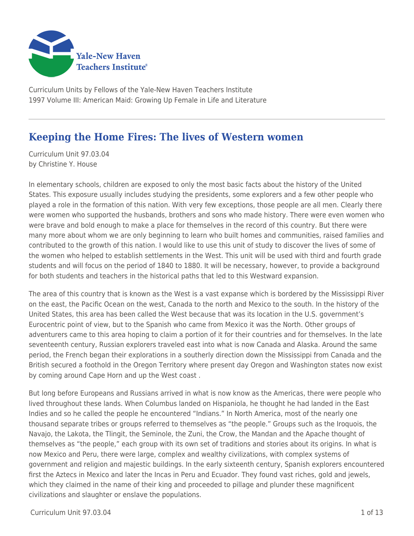

Curriculum Units by Fellows of the Yale-New Haven Teachers Institute 1997 Volume III: American Maid: Growing Up Female in Life and Literature

# **Keeping the Home Fires: The lives of Western women**

Curriculum Unit 97.03.04 by Christine Y. House

In elementary schools, children are exposed to only the most basic facts about the history of the United States. This exposure usually includes studying the presidents, some explorers and a few other people who played a role in the formation of this nation. With very few exceptions, those people are all men. Clearly there were women who supported the husbands, brothers and sons who made history. There were even women who were brave and bold enough to make a place for themselves in the record of this country. But there were many more about whom we are only beginning to learn who built homes and communities, raised families and contributed to the growth of this nation. I would like to use this unit of study to discover the lives of some of the women who helped to establish settlements in the West. This unit will be used with third and fourth grade students and will focus on the period of 1840 to 1880. It will be necessary, however, to provide a background for both students and teachers in the historical paths that led to this Westward expansion.

The area of this country that is known as the West is a vast expanse which is bordered by the Mississippi River on the east, the Pacific Ocean on the west, Canada to the north and Mexico to the south. In the history of the United States, this area has been called the West because that was its location in the U.S. government's Eurocentric point of view, but to the Spanish who came from Mexico it was the North. Other groups of adventurers came to this area hoping to claim a portion of it for their countries and for themselves. In the late seventeenth century, Russian explorers traveled east into what is now Canada and Alaska. Around the same period, the French began their explorations in a southerly direction down the Mississippi from Canada and the British secured a foothold in the Oregon Territory where present day Oregon and Washington states now exist by coming around Cape Horn and up the West coast .

But long before Europeans and Russians arrived in what is now know as the Americas, there were people who lived throughout these lands. When Columbus landed on Hispaniola, he thought he had landed in the East Indies and so he called the people he encountered "Indians." In North America, most of the nearly one thousand separate tribes or groups referred to themselves as "the people." Groups such as the Iroquois, the Navajo, the Lakota, the Tlingit, the Seminole, the Zuni, the Crow, the Mandan and the Apache thought of themselves as "the people," each group with its own set of traditions and stories about its origins. In what is now Mexico and Peru, there were large, complex and wealthy civilizations, with complex systems of government and religion and majestic buildings. In the early sixteenth century, Spanish explorers encountered first the Aztecs in Mexico and later the Incas in Peru and Ecuador. They found vast riches, gold and jewels, which they claimed in the name of their king and proceeded to pillage and plunder these magnificent civilizations and slaughter or enslave the populations.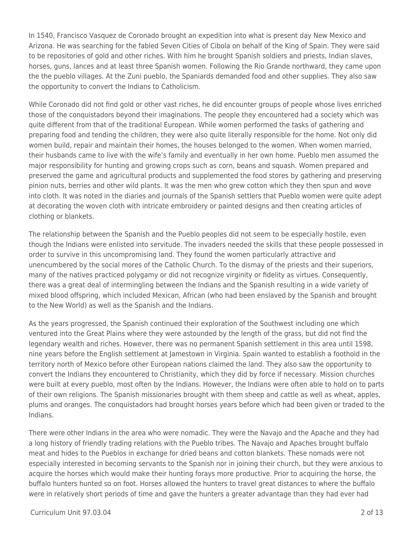In 1540, Francisco Vasquez de Coronado brought an expedition into what is present day New Mexico and Arizona. He was searching for the fabled Seven Cities of Cibola on behalf of the King of Spain. They were said to be repositories of gold and other riches. With him he brought Spanish soldiers and priests, Indian slaves, horses, guns, lances and at least three Spanish women. Following the Rio Grande northward, they came upon the the pueblo villages. At the Zuni pueblo, the Spaniards demanded food and other supplies. They also saw the opportunity to convert the Indians to Catholicism.

While Coronado did not find gold or other vast riches, he did encounter groups of people whose lives enriched those of the conquistadors beyond their imaginations. The people they encountered had a society which was quite different from that of the traditional European. While women performed the tasks of gathering and preparing food and tending the children, they were also quite literally responsible for the home. Not only did women build, repair and maintain their homes, the houses belonged to the women. When women married, their husbands came to live with the wife's family and eventually in her own home. Pueblo men assumed the major responsibility for hunting and growing crops such as corn, beans and squash. Women prepared and preserved the game and agricultural products and supplemented the food stores by gathering and preserving pinion nuts, berries and other wild plants. It was the men who grew cotton which they then spun and wove into cloth. It was noted in the diaries and journals of the Spanish settlers that Pueblo women were quite adept at decorating the woven cloth with intricate embroidery or painted designs and then creating articles of clothing or blankets.

The relationship between the Spanish and the Pueblo peoples did not seem to be especially hostile, even though the Indians were enlisted into servitude. The invaders needed the skills that these people possessed in order to survive in this uncompromising land. They found the women particularly attractive and unencumbered by the social mores of the Catholic Church. To the dismay of the priests and their superiors, many of the natives practiced polygamy or did not recognize virginity or fidelity as virtues. Consequently, there was a great deal of intermingling between the Indians and the Spanish resulting in a wide variety of mixed blood offspring, which included Mexican, African (who had been enslaved by the Spanish and brought to the New World) as well as the Spanish and the Indians.

As the years progressed, the Spanish continued their exploration of the Southwest including one which ventured into the Great Plains where they were astounded by the length of the grass, but did not find the legendary wealth and riches. However, there was no permanent Spanish settlement in this area until 1598, nine years before the English settlement at Jamestown in Virginia. Spain wanted to establish a foothold in the territory north of Mexico before other European nations claimed the land. They also saw the opportunity to convert the Indians they encountered to Christianity, which they did by force if necessary. Mission churches were built at every pueblo, most often by the Indians. However, the Indians were often able to hold on to parts of their own religions. The Spanish missionaries brought with them sheep and cattle as well as wheat, apples, plums and oranges. The conquistadors had brought horses years before which had been given or traded to the Indians.

There were other Indians in the area who were nomadic. They were the Navajo and the Apache and they had a long history of friendly trading relations with the Pueblo tribes. The Navajo and Apaches brought buffalo meat and hides to the Pueblos in exchange for dried beans and cotton blankets. These nomads were not especially interested in becoming servants to the Spanish nor in joining their church, but they were anxious to acquire the horses which would make their hunting forays more productive. Prior to acquiring the horse, the buffalo hunters hunted so on foot. Horses allowed the hunters to travel great distances to where the buffalo were in relatively short periods of time and gave the hunters a greater advantage than they had ever had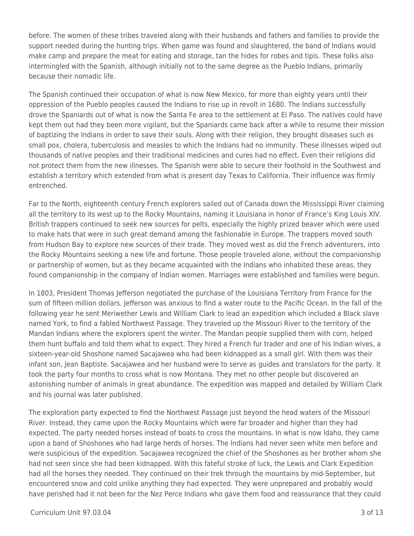before. The women of these tribes traveled along with their husbands and fathers and families to provide the support needed during the hunting trips. When game was found and slaughtered, the band of Indians would make camp and prepare the meat for eating and storage, tan the hides for robes and tipis. These folks also intermingled with the Spanish, although initially not to the same degree as the Pueblo Indians, primarily because their nomadic life.

The Spanish continued their occupation of what is now New Mexico, for more than eighty years until their oppression of the Pueblo peoples caused the Indians to rise up in revolt in 1680. The Indians successfully drove the Spaniards out of what is now the Santa Fe area to the settlement at El Paso. The natives could have kept them out had they been more vigilant, but the Spaniards came back after a while to resume their mission of baptizing the Indians in order to save their souls. Along with their religion, they brought diseases such as small pox, cholera, tuberculosis and measles to which the Indians had no immunity. These illnesses wiped out thousands of native peoples and their traditional medicines and cures had no effect. Even their religions did not protect them from the new illnesses. The Spanish were able to secure their foothold in the Southwest and establish a territory which extended from what is present day Texas to California. Their influence was firmly entrenched.

Far to the North, eighteenth century French explorers sailed out of Canada down the Mississippi River claiming all the territory to its west up to the Rocky Mountains, naming it Louisiana in honor of France's King Louis XIV. British trappers continued to seek new sources for pelts, especially the highly prized beaver which were used to make hats that were in such great demand among the fashionable in Europe. The trappers moved south from Hudson Bay to explore new sources of their trade. They moved west as did the French adventurers, into the Rocky Mountains seeking a new life and fortune. Those people traveled alone, without the companionship or partnership of women, but as they became acquainted with the Indians who inhabited these areas, they found companionship in the company of Indian women. Marriages were established and families were begun.

In 1803, President Thomas Jefferson negotiated the purchase of the Louisiana Territory from France for the sum of fifteen million dollars. Jefferson was anxious to find a water route to the Pacific Ocean. In the fall of the following year he sent Meriwether Lewis and William Clark to lead an expedition which included a Black slave named York, to find a fabled Northwest Passage. They traveled up the Missouri River to the territory of the Mandan Indians where the explorers spent the winter. The Mandan people supplied them with corn, helped them hunt buffalo and told them what to expect. They hired a French fur trader and one of his Indian wives, a sixteen-year-old Shoshone named Sacajawea who had been kidnapped as a small girl. With them was their infant son, Jean Baptiste. Sacajawea and her husband were to serve as guides and translators for the party. It took the party four months to cross what is now Montana. They met no other people but discovered an astonishing number of animals in great abundance. The expedition was mapped and detailed by William Clark and his journal was later published.

The exploration party expected to find the Northwest Passage just beyond the head waters of the Missouri River. Instead, they came upon the Rocky Mountains which were far broader and higher than they had expected. The party needed horses instead of boats to cross the mountains. In what is now Idaho, they came upon a band of Shoshones who had large herds of horses. The Indians had never seen white men before and were suspicious of the expedition. Sacajawea recognized the chief of the Shoshones as her brother whom she had not seen since she had been kidnapped. With this fateful stroke of luck, the Lewis and Clark Expedition had all the horses they needed. They continued on their trek through the mountains by mid-September, but encountered snow and cold unlike anything they had expected. They were unprepared and probably would have perished had it not been for the Nez Perce Indians who gave them food and reassurance that they could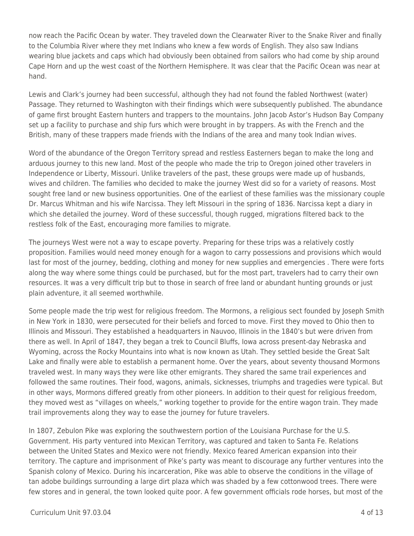now reach the Pacific Ocean by water. They traveled down the Clearwater River to the Snake River and finally to the Columbia River where they met Indians who knew a few words of English. They also saw Indians wearing blue jackets and caps which had obviously been obtained from sailors who had come by ship around Cape Horn and up the west coast of the Northern Hemisphere. It was clear that the Pacific Ocean was near at hand.

Lewis and Clark's journey had been successful, although they had not found the fabled Northwest (water) Passage. They returned to Washington with their findings which were subsequently published. The abundance of game first brought Eastern hunters and trappers to the mountains. John Jacob Astor's Hudson Bay Company set up a facility to purchase and ship furs which were brought in by trappers. As with the French and the British, many of these trappers made friends with the Indians of the area and many took Indian wives.

Word of the abundance of the Oregon Territory spread and restless Easterners began to make the long and arduous journey to this new land. Most of the people who made the trip to Oregon joined other travelers in Independence or Liberty, Missouri. Unlike travelers of the past, these groups were made up of husbands, wives and children. The families who decided to make the journey West did so for a variety of reasons. Most sought free land or new business opportunities. One of the earliest of these families was the missionary couple Dr. Marcus Whitman and his wife Narcissa. They left Missouri in the spring of 1836. Narcissa kept a diary in which she detailed the journey. Word of these successful, though rugged, migrations filtered back to the restless folk of the East, encouraging more families to migrate.

The journeys West were not a way to escape poverty. Preparing for these trips was a relatively costly proposition. Families would need money enough for a wagon to carry possessions and provisions which would last for most of the journey, bedding, clothing and money for new supplies and emergencies . There were forts along the way where some things could be purchased, but for the most part, travelers had to carry their own resources. It was a very difficult trip but to those in search of free land or abundant hunting grounds or just plain adventure, it all seemed worthwhile.

Some people made the trip west for religious freedom. The Mormons, a religious sect founded by Joseph Smith in New York in 1830, were persecuted for their beliefs and forced to move. First they moved to Ohio then to Illinois and Missouri. They established a headquarters in Nauvoo, Illinois in the 1840's but were driven from there as well. In April of 1847, they began a trek to Council Bluffs, Iowa across present-day Nebraska and Wyoming, across the Rocky Mountains into what is now known as Utah. They settled beside the Great Salt Lake and finally were able to establish a permanent home. Over the years, about seventy thousand Mormons traveled west. In many ways they were like other emigrants. They shared the same trail experiences and followed the same routines. Their food, wagons, animals, sicknesses, triumphs and tragedies were typical. But in other ways, Mormons differed greatly from other pioneers. In addition to their quest for religious freedom, they moved west as "villages on wheels," working together to provide for the entire wagon train. They made trail improvements along they way to ease the journey for future travelers.

In 1807, Zebulon Pike was exploring the southwestern portion of the Louisiana Purchase for the U.S. Government. His party ventured into Mexican Territory, was captured and taken to Santa Fe. Relations between the United States and Mexico were not friendly. Mexico feared American expansion into their territory. The capture and imprisonment of Pike's party was meant to discourage any further ventures into the Spanish colony of Mexico. During his incarceration, Pike was able to observe the conditions in the village of tan adobe buildings surrounding a large dirt plaza which was shaded by a few cottonwood trees. There were few stores and in general, the town looked quite poor. A few government officials rode horses, but most of the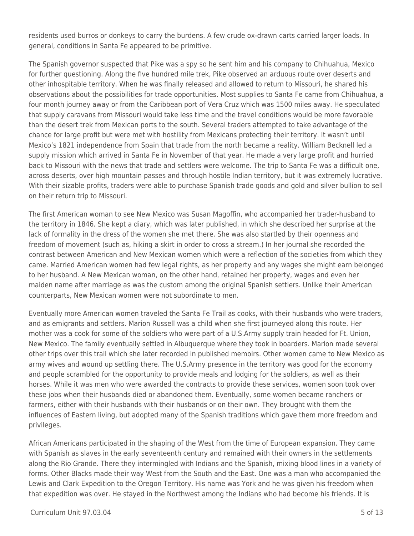residents used burros or donkeys to carry the burdens. A few crude ox-drawn carts carried larger loads. In general, conditions in Santa Fe appeared to be primitive.

The Spanish governor suspected that Pike was a spy so he sent him and his company to Chihuahua, Mexico for further questioning. Along the five hundred mile trek, Pike observed an arduous route over deserts and other inhospitable territory. When he was finally released and allowed to return to Missouri, he shared his observations about the possibilities for trade opportunities. Most supplies to Santa Fe came from Chihuahua, a four month journey away or from the Caribbean port of Vera Cruz which was 1500 miles away. He speculated that supply caravans from Missouri would take less time and the travel conditions would be more favorable than the desert trek from Mexican ports to the south. Several traders attempted to take advantage of the chance for large profit but were met with hostility from Mexicans protecting their territory. It wasn't until Mexico's 1821 independence from Spain that trade from the north became a reality. William Becknell led a supply mission which arrived in Santa Fe in November of that year. He made a very large profit and hurried back to Missouri with the news that trade and settlers were welcome. The trip to Santa Fe was a difficult one, across deserts, over high mountain passes and through hostile Indian territory, but it was extremely lucrative. With their sizable profits, traders were able to purchase Spanish trade goods and gold and silver bullion to sell on their return trip to Missouri.

The first American woman to see New Mexico was Susan Magoffin, who accompanied her trader-husband to the territory in 1846. She kept a diary, which was later published, in which she described her surprise at the lack of formality in the dress of the women she met there. She was also startled by their openness and freedom of movement (such as, hiking a skirt in order to cross a stream.) In her journal she recorded the contrast between American and New Mexican women which were a reflection of the societies from which they came. Married American women had few legal rights, as her property and any wages she might earn belonged to her husband. A New Mexican woman, on the other hand, retained her property, wages and even her maiden name after marriage as was the custom among the original Spanish settlers. Unlike their American counterparts, New Mexican women were not subordinate to men.

Eventually more American women traveled the Santa Fe Trail as cooks, with their husbands who were traders, and as emigrants and settlers. Marion Russell was a child when she first journeyed along this route. Her mother was a cook for some of the soldiers who were part of a U.S.Army supply train headed for Ft. Union, New Mexico. The family eventually settled in Albuquerque where they took in boarders. Marion made several other trips over this trail which she later recorded in published memoirs. Other women came to New Mexico as army wives and wound up settling there. The U.S.Army presence in the territory was good for the economy and people scrambled for the opportunity to provide meals and lodging for the soldiers, as well as their horses. While it was men who were awarded the contracts to provide these services, women soon took over these jobs when their husbands died or abandoned them. Eventually, some women became ranchers or farmers, either with their husbands with their husbands or on their own. They brought with them the influences of Eastern living, but adopted many of the Spanish traditions which gave them more freedom and privileges.

African Americans participated in the shaping of the West from the time of European expansion. They came with Spanish as slaves in the early seventeenth century and remained with their owners in the settlements along the Rio Grande. There they intermingled with Indians and the Spanish, mixing blood lines in a variety of forms. Other Blacks made their way West from the South and the East. One was a man who accompanied the Lewis and Clark Expedition to the Oregon Territory. His name was York and he was given his freedom when that expedition was over. He stayed in the Northwest among the Indians who had become his friends. It is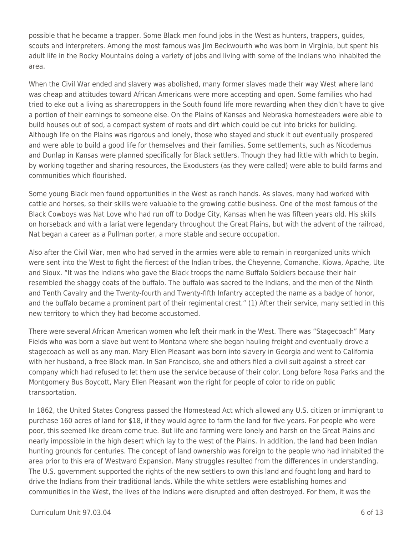possible that he became a trapper. Some Black men found jobs in the West as hunters, trappers, guides, scouts and interpreters. Among the most famous was Jim Beckwourth who was born in Virginia, but spent his adult life in the Rocky Mountains doing a variety of jobs and living with some of the Indians who inhabited the area.

When the Civil War ended and slavery was abolished, many former slaves made their way West where land was cheap and attitudes toward African Americans were more accepting and open. Some families who had tried to eke out a living as sharecroppers in the South found life more rewarding when they didn't have to give a portion of their earnings to someone else. On the Plains of Kansas and Nebraska homesteaders were able to build houses out of sod, a compact system of roots and dirt which could be cut into bricks for building. Although life on the Plains was rigorous and lonely, those who stayed and stuck it out eventually prospered and were able to build a good life for themselves and their families. Some settlements, such as Nicodemus and Dunlap in Kansas were planned specifically for Black settlers. Though they had little with which to begin, by working together and sharing resources, the Exodusters (as they were called) were able to build farms and communities which flourished.

Some young Black men found opportunities in the West as ranch hands. As slaves, many had worked with cattle and horses, so their skills were valuable to the growing cattle business. One of the most famous of the Black Cowboys was Nat Love who had run off to Dodge City, Kansas when he was fifteen years old. His skills on horseback and with a lariat were legendary throughout the Great Plains, but with the advent of the railroad, Nat began a career as a Pullman porter, a more stable and secure occupation.

Also after the Civil War, men who had served in the armies were able to remain in reorganized units which were sent into the West to fight the fiercest of the Indian tribes, the Cheyenne, Comanche, Kiowa, Apache, Ute and Sioux. "It was the Indians who gave the Black troops the name Buffalo Soldiers because their hair resembled the shaggy coats of the buffalo. The buffalo was sacred to the Indians, and the men of the Ninth and Tenth Cavalry and the Twenty-fourth and Twenty-fifth Infantry accepted the name as a badge of honor, and the buffalo became a prominent part of their regimental crest." (1) After their service, many settled in this new territory to which they had become accustomed.

There were several African American women who left their mark in the West. There was "Stagecoach" Mary Fields who was born a slave but went to Montana where she began hauling freight and eventually drove a stagecoach as well as any man. Mary Ellen Pleasant was born into slavery in Georgia and went to California with her husband, a free Black man. In San Francisco, she and others filed a civil suit against a street car company which had refused to let them use the service because of their color. Long before Rosa Parks and the Montgomery Bus Boycott, Mary Ellen Pleasant won the right for people of color to ride on public transportation.

In 1862, the United States Congress passed the Homestead Act which allowed any U.S. citizen or immigrant to purchase 160 acres of land for \$18, if they would agree to farm the land for five years. For people who were poor, this seemed like dream come true. But life and farming were lonely and harsh on the Great Plains and nearly impossible in the high desert which lay to the west of the Plains. In addition, the land had been Indian hunting grounds for centuries. The concept of land ownership was foreign to the people who had inhabited the area prior to this era of Westward Expansion. Many struggles resulted from the differences in understanding. The U.S. government supported the rights of the new settlers to own this land and fought long and hard to drive the Indians from their traditional lands. While the white settlers were establishing homes and communities in the West, the lives of the Indians were disrupted and often destroyed. For them, it was the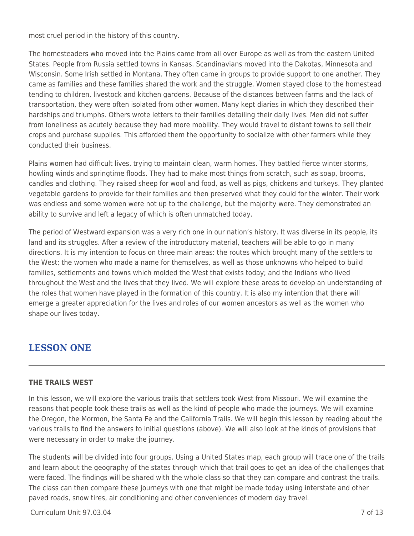most cruel period in the history of this country.

The homesteaders who moved into the Plains came from all over Europe as well as from the eastern United States. People from Russia settled towns in Kansas. Scandinavians moved into the Dakotas, Minnesota and Wisconsin. Some Irish settled in Montana. They often came in groups to provide support to one another. They came as families and these families shared the work and the struggle. Women stayed close to the homestead tending to children, livestock and kitchen gardens. Because of the distances between farms and the lack of transportation, they were often isolated from other women. Many kept diaries in which they described their hardships and triumphs. Others wrote letters to their families detailing their daily lives. Men did not suffer from loneliness as acutely because they had more mobility. They would travel to distant towns to sell their crops and purchase supplies. This afforded them the opportunity to socialize with other farmers while they conducted their business.

Plains women had difficult lives, trying to maintain clean, warm homes. They battled fierce winter storms, howling winds and springtime floods. They had to make most things from scratch, such as soap, brooms, candles and clothing. They raised sheep for wool and food, as well as pigs, chickens and turkeys. They planted vegetable gardens to provide for their families and then preserved what they could for the winter. Their work was endless and some women were not up to the challenge, but the majority were. They demonstrated an ability to survive and left a legacy of which is often unmatched today.

The period of Westward expansion was a very rich one in our nation's history. It was diverse in its people, its land and its struggles. After a review of the introductory material, teachers will be able to go in many directions. It is my intention to focus on three main areas: the routes which brought many of the settlers to the West; the women who made a name for themselves, as well as those unknowns who helped to build families, settlements and towns which molded the West that exists today; and the Indians who lived throughout the West and the lives that they lived. We will explore these areas to develop an understanding of the roles that women have played in the formation of this country. It is also my intention that there will emerge a greater appreciation for the lives and roles of our women ancestors as well as the women who shape our lives today.

## **LESSON ONE**

#### **THE TRAILS WEST**

In this lesson, we will explore the various trails that settlers took West from Missouri. We will examine the reasons that people took these trails as well as the kind of people who made the journeys. We will examine the Oregon, the Mormon, the Santa Fe and the California Trails. We will begin this lesson by reading about the various trails to find the answers to initial questions (above). We will also look at the kinds of provisions that were necessary in order to make the journey.

The students will be divided into four groups. Using a United States map, each group will trace one of the trails and learn about the geography of the states through which that trail goes to get an idea of the challenges that were faced. The findings will be shared with the whole class so that they can compare and contrast the trails. The class can then compare these journeys with one that might be made today using interstate and other paved roads, snow tires, air conditioning and other conveniences of modern day travel.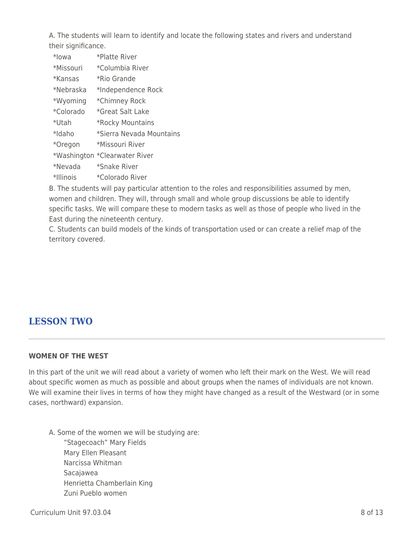A. The students will learn to identify and locate the following states and rivers and understand their significance.

- \*Iowa \*Platte River
- \*Missouri \*Columbia River
- \*Kansas \*Rio Grande
- \*Nebraska \*Independence Rock
- \*Wyoming \*Chimney Rock
- \*Colorado \*Great Salt Lake
- \*Utah \*Rocky Mountains
- \*Idaho \*Sierra Nevada Mountains
- \*Oregon \*Missouri River
- \*Washington \*Clearwater River
- \*Nevada \*Snake River
- \*Illinois \*Colorado River

B. The students will pay particular attention to the roles and responsibilities assumed by men, women and children. They will, through small and whole group discussions be able to identify specific tasks. We will compare these to modern tasks as well as those of people who lived in the East during the nineteenth century.

C. Students can build models of the kinds of transportation used or can create a relief map of the territory covered.

## **LESSON TWO**

#### **WOMEN OF THE WEST**

In this part of the unit we will read about a variety of women who left their mark on the West. We will read about specific women as much as possible and about groups when the names of individuals are not known. We will examine their lives in terms of how they might have changed as a result of the Westward (or in some cases, northward) expansion.

A. Some of the women we will be studying are: "Stagecoach" Mary Fields Mary Ellen Pleasant Narcissa Whitman \_\_\_\_ Sacajawea Henrietta Chamberlain King \_\_\_\_ Zuni Pueblo women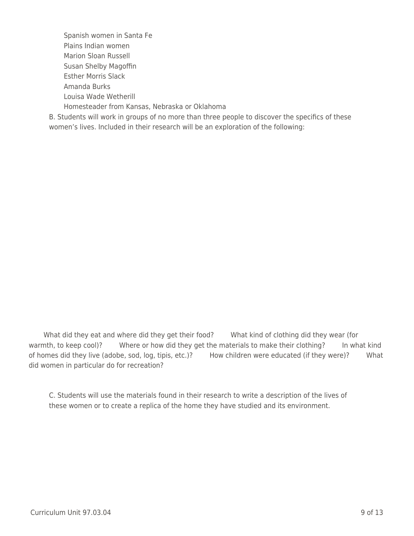Spanish women in Santa Fe Plains Indian women Marion Sloan Russell Susan Shelby Magoffin Esther Morris Slack \_\_\_\_ Amanda Burks Louisa Wade Wetherill Homesteader from Kansas, Nebraska or Oklahoma

B. Students will work in groups of no more than three people to discover the specifics of these women's lives. Included in their research will be an exploration of the following:

What did they eat and where did they get their food? What kind of clothing did they wear (for warmth, to keep cool)? Where or how did they get the materials to make their clothing? In what kind of homes did they live (adobe, sod, log, tipis, etc.)? How children were educated (if they were)? What did women in particular do for recreation?

C. Students will use the materials found in their research to write a description of the lives of these women or to create a replica of the home they have studied and its environment.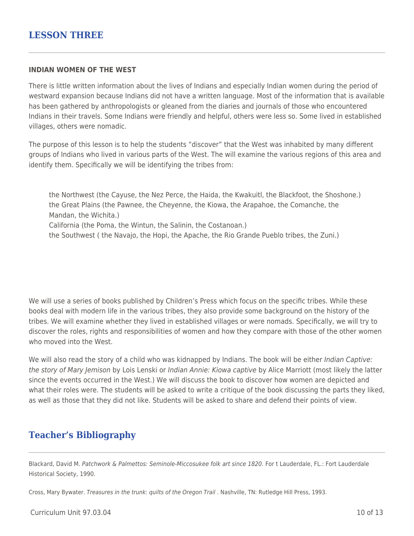#### **INDIAN WOMEN OF THE WEST**

There is little written information about the lives of Indians and especially Indian women during the period of westward expansion because Indians did not have a written language. Most of the information that is available has been gathered by anthropologists or gleaned from the diaries and journals of those who encountered Indians in their travels. Some Indians were friendly and helpful, others were less so. Some lived in established villages, others were nomadic.

The purpose of this lesson is to help the students "discover" that the West was inhabited by many different groups of Indians who lived in various parts of the West. The will examine the various regions of this area and identify them. Specifically we will be identifying the tribes from:

the Northwest (the Cayuse, the Nez Perce, the Haida, the Kwakuitl, the Blackfoot, the Shoshone.) the Great Plains (the Pawnee, the Cheyenne, the Kiowa, the Arapahoe, the Comanche, the Mandan, the Wichita.) California (the Poma, the Wintun, the Salinin, the Costanoan.) the Southwest ( the Navajo, the Hopi, the Apache, the Rio Grande Pueblo tribes, the Zuni.)

We will use a series of books published by Children's Press which focus on the specific tribes. While these books deal with modern life in the various tribes, they also provide some background on the history of the tribes. We will examine whether they lived in established villages or were nomads. Specifically, we will try to discover the roles, rights and responsibilities of women and how they compare with those of the other women who moved into the West.

We will also read the story of a child who was kidnapped by Indians. The book will be either Indian Captive: the story of Mary Jemison by Lois Lenski or Indian Annie: Kiowa captive by Alice Marriott (most likely the latter since the events occurred in the West.) We will discuss the book to discover how women are depicted and what their roles were. The students will be asked to write a critique of the book discussing the parts they liked, as well as those that they did not like. Students will be asked to share and defend their points of view.

## **Teacher's Bibliography**

Blackard, David M. Patchwork & Palmettos: Seminole-Miccosukee folk art since 1820. For t Lauderdale, FL.: Fort Lauderdale Historical Society, 1990.

Cross, Mary Bywater. Treasures in the trunk: quilts of the Oregon Trail . Nashville, TN: Rutledge Hill Press, 1993.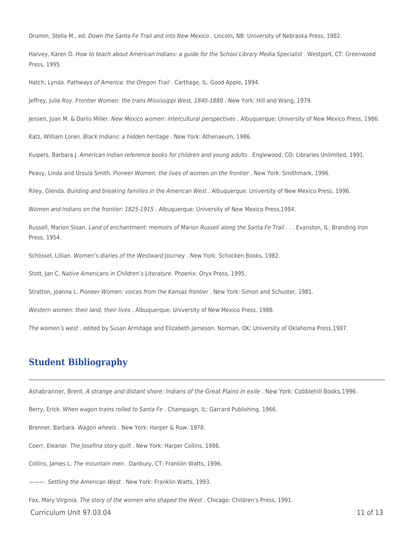Drumm, Stella M., ed. Down the Santa Fe Trail and into New Mexico . Lincoln, NB: University of Nebraska Press, 1982.

Harvey, Karen D. How to teach about American Indians: a guide for the School Library Media Specialist . Westport, CT: Greenwood Press, 1995.

Hatch, Lynda. Pathways of America: the Oregon Trail . Carthage, IL: Good Apple, 1994.

Jeffrey, Julie Roy. Frontier Women: the trans-Mississippi West, 1840-1880 . New York: Hill and Wang, 1979.

Jensen, Joan M. & Darlis Miller. New Mexico women: intercultural perspectives . Albuquerque: University of New Mexico Press, 1986.

Katz, William Loren. Black Indians: a hidden heritage . New York: Athenaeum, 1986.

Kuipers, Barbara J. American Indian reference books for children and young adults . Englewood, CO: Libraries Unlimited, 1991.

Peavy, Linda and Ursula Smith. Pioneer Women: the lives of women on the frontier . New York: Smithmark, 1996.

Riley, Glenda. Building and breaking families in the American West . Albuquerque: University of New Mexico Press, 1996.

Women and Indians on the frontier: 1825-1915 . Albuquerque: University of New Mexico Press,1984.

Russell, Marion Sloan. Land of enchantment: memoirs of Marion Russell along the Santa Fe Trail . . . Evanston, IL: Branding Iron Press, 1954.

Schlissel, Lillian. Women's diaries of the Westward Journey . New York: Schocken Books, 1982.

Stott, Jan C. Native Americans in Children's Literature. Phoenix: Oryx Press, 1995.

Stratton, Joanna L. Pioneer Women: voices from the Kansas frontier . New York: Simon and Schuster, 1981.

Western women: their land, their lives . Albuquerque: University of New Mexico Press. 1988.

The women's west . edited by Susan Armitage and Elizabeth Jameson. Norman, OK: University of Oklahoma Press.1987.

### **Student Bibliography**

Ashabranner, Brent. A strange and distant shore: Indians of the Great Plains in exile . New York: Cobblehill Books,1996.

Berry, Erick. When wagon trains rolled to Santa Fe. Champaign, IL: Garrard Publishing, 1966.

Brenner, Barbara. Wagon wheels . New York: Harper & Row, 1978.

Coerr, Eleanor. The Josefina story quilt . New York: Harper Collins, 1986.

Collins, James L. The mountain men . Danbury, CT: Franklin Watts, 1996.

———. Settling the American West . New York: Franklin Watts, 1993.

Fox, Mary Virginia. The story of the women who shaped the West . Chicago: Children's Press, 1991.

 $C$ urriculum Unit 97.03.04 11 of 13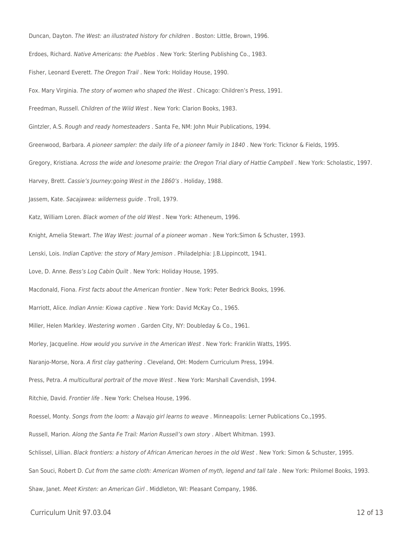Duncan, Dayton. The West: an illustrated history for children . Boston: Little, Brown, 1996. Erdoes, Richard. Native Americans: the Pueblos . New York: Sterling Publishing Co., 1983. Fisher, Leonard Everett. The Oregon Trail . New York: Holiday House, 1990. Fox. Mary Virginia. The story of women who shaped the West . Chicago: Children's Press, 1991. Freedman, Russell. Children of the Wild West . New York: Clarion Books, 1983. Gintzler, A.S. Rough and ready homesteaders . Santa Fe, NM: John Muir Publications, 1994. Greenwood, Barbara. A pioneer sampler: the daily life of a pioneer family in 1840 . New York: Ticknor & Fields, 1995. Gregory, Kristiana. Across the wide and lonesome prairie: the Oregon Trial diary of Hattie Campbell . New York: Scholastic, 1997. Harvey, Brett. Cassie's Journey:going West in the 1860's . Holiday, 1988. Jassem, Kate. Sacajawea: wilderness guide . Troll, 1979. Katz, William Loren. Black women of the old West . New York: Atheneum, 1996. Knight, Amelia Stewart. The Way West: journal of a pioneer woman . New York: Simon & Schuster, 1993. Lenski, Lois. Indian Captive: the story of Mary Jemison . Philadelphia: J.B.Lippincott, 1941. Love, D. Anne. Bess's Log Cabin Quilt . New York: Holiday House, 1995. Macdonald, Fiona. First facts about the American frontier . New York: Peter Bedrick Books, 1996. Marriott, Alice. Indian Annie: Kiowa captive . New York: David McKay Co., 1965. Miller, Helen Markley. Westering women . Garden City, NY: Doubleday & Co., 1961. Morley, Jacqueline. How would you survive in the American West . New York: Franklin Watts, 1995. Naranjo-Morse, Nora. A first clay gathering . Cleveland, OH: Modern Curriculum Press, 1994. Press, Petra. A multicultural portrait of the move West . New York: Marshall Cavendish, 1994. Ritchie, David. Frontier life . New York: Chelsea House, 1996. Roessel, Monty. Songs from the loom: a Navajo girl learns to weave . Minneapolis: Lerner Publications Co.,1995. Russell, Marion. Along the Santa Fe Trail: Marion Russell's own story . Albert Whitman. 1993. Schlissel, Lillian. Black frontiers: a history of African American heroes in the old West . New York: Simon & Schuster, 1995. San Souci, Robert D. Cut from the same cloth: American Women of myth, legend and tall tale . New York: Philomel Books, 1993. Shaw, Janet. Meet Kirsten: an American Girl . Middleton, WI: Pleasant Company, 1986.